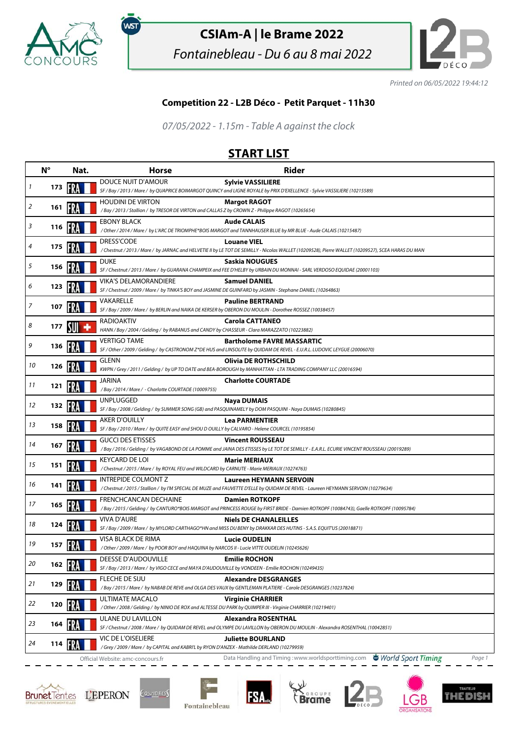

,<br>wsт

## **CSIAm-A | le Brame 2022**

Fontainebleau - Du 6 au 8 mai 2022



Printed on 06/05/2022 19:44:12

## **Competition 22 - L2B Déco - Petit Parquet - 11h30**

07/05/2022 - 1.15m - Table A against the clock

## **START LIST**

|    | $N^{\circ}$ | Nat.                           | <b>Horse</b>                                                                                                                    | <b>Rider</b>                                                                                                                                                             |
|----|-------------|--------------------------------|---------------------------------------------------------------------------------------------------------------------------------|--------------------------------------------------------------------------------------------------------------------------------------------------------------------------|
| 1  | 173         |                                | DOUCE NUIT D'AMOUR                                                                                                              | <b>Sylvie VASSILIERE</b><br>SF / Bay / 2013 / Mare / by QUAPRICE BOIMARGOT QUINCY and LIGNE ROYALE by PRIX D'EXELLENCE - Sylvie VASSILIERE (10215589)                    |
| 2  | 161         |                                | <b>HOUDINI DE VIRTON</b><br>/Bay / 2013 / Stallion / by TRESOR DE VIRTON and CALLAS Z by CROWN Z - Philippe RAGOT (10265654)    | <b>Margot RAGOT</b>                                                                                                                                                      |
| 3  | 116         |                                | <b>EBONY BLACK</b>                                                                                                              | <b>Aude CALAIS</b><br>/Other/2014/Mare/ by L'ARC DE TRIOMPHE*BOIS MARGOT and TANNHAUSER BLUE by MR BLUE - Aude CALAIS (10215487)                                         |
| 4  | 175         | ERA                            | <b>DRESS'CODE</b>                                                                                                               | <b>Louane VIEL</b><br>/ Chestnut / 2013 / Mare / by JARNAC and HELVETIE II by LE TOT DE SEMILLY - Nicolas WALLET (10209528), Pierre WALLET (10209527), SCEA HARAS DU MAN |
| 5  | 156         |                                | <b>DUKE</b>                                                                                                                     | Saskia NOUGUES<br>SF / Chestnut / 2013 / Mare / by GUARANA CHAMPEIX and FEE D'HELBY by URBAIN DU MONNAI - SARL VERDOSO EQUIDAE (20001103)                                |
| 6  | 123         |                                | <b>VIKA'S DELAMORANDIERE</b>                                                                                                    | <b>Samuel DANIEL</b><br>SF / Chestnut / 2009 / Mare / by TINKA'S BOY and JASMINE DE GUINFARD by JASMIN - Stephane DANIEL (10264863)                                      |
| 7  | 107         |                                | VAKARELLE<br>SF / Bay / 2009 / Mare / by BERLIN and NAIKA DE KERSER by OBERON DU MOULIN - Dorothee ROSSEZ (10038457)            | <b>Pauline BERTRAND</b>                                                                                                                                                  |
| 8  | 177         |                                | <b>RADIOAKTIV</b><br>HANN / Bay / 2004 / Gelding / by RABANUS and CANDY by CHASSEUR - Clara MARAZZATO (10223882)                | <b>Carola CATTANEO</b>                                                                                                                                                   |
| 9  | 136         |                                | <b>VERTIGO TAME</b>                                                                                                             | <b>Bartholome FAVRE MASSARTIC</b><br>SF / Other / 2009 / Gelding / by CASTRONOM Z*DE HUS and LINSOLITE by QUIDAM DE REVEL - E.U.R.L. LUDOVIC LEYGUE (20006070)           |
| 10 | 126         |                                | GLENN                                                                                                                           | <b>Olivia DE ROTHSCHILD</b><br>KWPN / Grey / 2011 / Gelding / by UP TO DATE and BEA-BOROUGH by MANHATTAN - LTA TRADING COMPANY LLC (20016594)                            |
| 11 | 121         |                                | JARINA<br>/Bay / 2014 / Mare / - Charlotte COURTADE (10009755)                                                                  | <b>Charlotte COURTADE</b>                                                                                                                                                |
| 12 | 132         |                                | <b>UNPLUGGED</b>                                                                                                                | Naya DUMAIS<br>SF / Bay / 2008 / Gelding / by SUMMER SONG (GB) and PASQUINAMELY by DOM PASQUINI - Naya DUMAIS (10280845)                                                 |
| 13 | 158         | 197 A                          | <b>AKER D'OUILLY</b><br>SF / Bay / 2010 / Mare / by QUITE EASY and SHOU D OUILLY by CALVARO - Helene COURCEL (10195854)         | <b>Lea PARMENTIER</b>                                                                                                                                                    |
| 14 | 167         |                                | <b>GUCCI DES ETISSES</b>                                                                                                        | <b>Vincent ROUSSEAU</b><br>/Bay / 2016 / Gelding / by VAGABOND DE LA POMME and JAINA DES ETISSES by LE TOT DE SEMILLY - E.A.R.L. ECURIE VINCENT ROUSSEAU (20019289)      |
| 15 | 151         |                                | <b>KEYCARD DE LOI</b><br>/Chestnut / 2015 / Mare / by ROYAL FEU and WILDCARD by CARNUTE - Marie MERIAUX (10274763)              | <b>Marie MERIAUX</b>                                                                                                                                                     |
| 16 | 141         |                                | INTREPIDE COLMONT Z                                                                                                             | <b>Laureen HEYMANN SERVOIN</b><br>/ Chestnut / 2015 / Stallion / by I'M SPECIAL DE MUZE and FAUVETTE D'ELLE by QUIDAM DE REVEL - Laureen HEYMANN SERVOIN (10279634)      |
| 17 | 165         |                                | FRENCHCANCAN DECHAINE                                                                                                           | <b>Damien ROTKOPF</b><br>/Bay / 2015 / Gelding / by CANTURO*BOIS MARGOT and PRINCESS ROUGE by FIRST BRIDE - Damien ROTKOPF (10084743), Gaelle ROTKOPF (10095784)         |
| 18 | 124         |                                | <b>VIVA D'AURE</b>                                                                                                              | <b>Niels DE CHANALEILLES</b><br>SF / Bay / 2009 / Mare / by MYLORD CARTHAGO*HN and MISS DU BENY by DRAKKAR DES HUTINS - S.A.S. EQUITUS (20018871)                        |
| 19 | 157         |                                | VISA BLACK DE RIMA<br>/ Other / 2009 / Mare / by POOR BOY and HAQUINA by NARCOS II - Lucie VITTE OUDELIN (10245626)             | <b>Lucie OUDELIN</b>                                                                                                                                                     |
| 20 |             | 162 $\left[\frac{1}{2}\right]$ | DEESSE D'AUDOUVILLE<br>SF / Bay / 2013 / Mare / by VIGO CECE and MAYA D'AUDOUVILLE by VONDEEN - Emilie ROCHON (10249435)        | <b>Emilie ROCHON</b>                                                                                                                                                     |
| 21 | 129         |                                | FLECHE DE SIJU                                                                                                                  | <b>Alexandre DESGRANGES</b><br>/Bay / 2015 / Mare / by NABAB DE REVE and OLGA DES VAUX by GENTLEMAN PLATIERE - Carole DESGRANGES (10237824)                              |
| 22 | 120         |                                | ULTIMATE MACALO<br>/ Other / 2008 / Gelding / by NINIO DE ROX and ALTESSE DU PARK by QUIMPER III - Virginie CHARRIER (10219401) | <b>Virginie CHARRIER</b>                                                                                                                                                 |
| 23 | 164         |                                | ULANE DU LAVILLON                                                                                                               | Alexandra ROSENTHAL<br>SF / Chestnut / 2008 / Mare / by QUIDAM DE REVEL and OLYMPE DU LAVILLON by OBERON DU MOULIN - Alexandra ROSENTHAL (10042851)                      |
| 24 | 114         |                                | VIC DE L'OISELIERE<br>/Grey / 2009 / Mare / by CAPITAL and KABRI'L by RYON D'ANZEX - Mathilde DERLAND (10279959)                | <b>Juliette BOURLAND</b>                                                                                                                                                 |
|    |             |                                | Official Website: amc-concours.fr                                                                                               | Data Handling and Timing: www.worldsporttiming.com<br>World Sport Timing<br>Page 1                                                                                       |







**FSA**